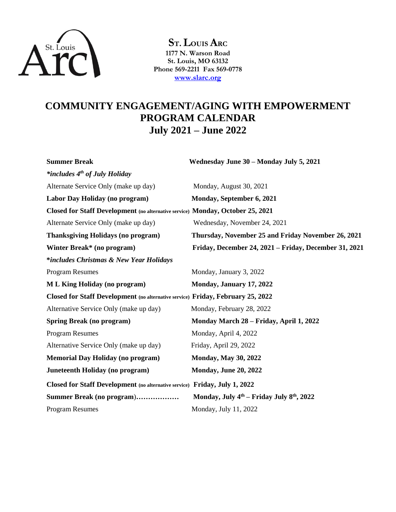

**ST.LOUIS ARC 1177 N. Warson Road St. Louis, MO 63132 Phone 569-2211 Fax 569-0778 [www.slarc.org](http://www.slarc.org/)**

## **COMMUNITY ENGAGEMENT/AGING WITH EMPOWERMENT PROGRAM CALENDAR July 2021 – June 2022**

**Summer Break Wednesday June 30 – Monday July 5, 2021** *\*includes 4th of July Holiday* Alternate Service Only (make up day) Monday, August 30, 2021 **Labor Day Holiday (no program) Monday, September 6, 2021 Closed for Staff Development (no alternative service) Monday, October 25, 2021** Alternate Service Only (make up day) Wednesday, November 24, 2021 **Thanksgiving Holidays (no program) Thursday, November 25 and Friday November 26, 2021 Winter Break\* (no program) Friday, December 24, 2021 – Friday, December 31, 2021 \****includes Christmas & New Year Holidays* Program Resumes Monday, January 3, 2022 **M L King Holiday (no program)** Monday, January 17, 2022 **Closed for Staff Development (no alternative service) Friday, February 25, 2022** Alternative Service Only (make up day) Monday, February 28, 2022 **Spring Break (no program) Monday March 28 – Friday, April 1, 2022** Program Resumes Monday, April 4, 2022 Alternative Service Only (make up day) Friday, April 29, 2022 **Memorial Day Holiday (no program)** Monday, May 30, 2022 **Juneteenth Holiday (no program)** Monday, June 20, 2022 **Closed for Staff Development (no alternative service) Friday, July 1, 2022 Summer Break (no program**)**……………… Monday, July 4th – Friday July 8th, 2022** Program Resumes Monday, July 11, 2022